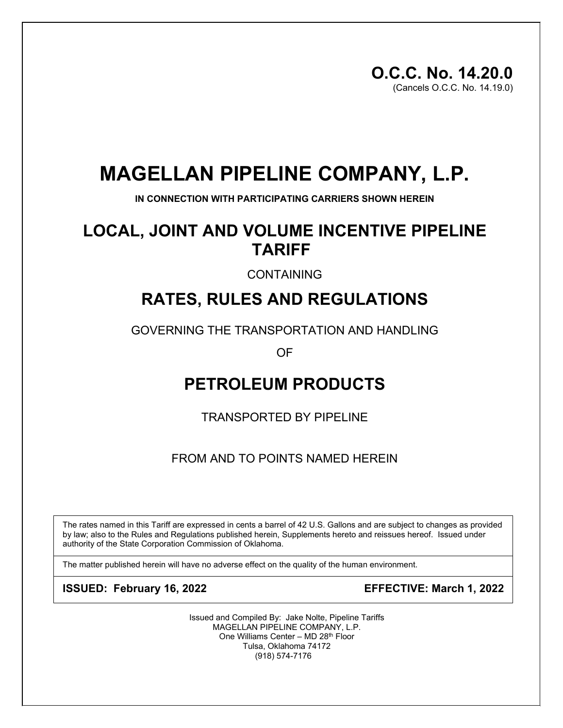# **MAGELLAN PIPELINE COMPANY, L.P.**

**IN CONNECTION WITH PARTICIPATING CARRIERS SHOWN HEREIN**

# **LOCAL, JOINT AND VOLUME INCENTIVE PIPELINE TARIFF**

CONTAINING

# **RATES, RULES AND REGULATIONS**

GOVERNING THE TRANSPORTATION AND HANDLING

OF

# **PETROLEUM PRODUCTS**

TRANSPORTED BY PIPELINE

FROM AND TO POINTS NAMED HEREIN

The rates named in this Tariff are expressed in cents a barrel of 42 U.S. Gallons and are subject to changes as provided by law; also to the Rules and Regulations published herein, Supplements hereto and reissues hereof. Issued under authority of the State Corporation Commission of Oklahoma.

The matter published herein will have no adverse effect on the quality of the human environment.

**ISSUED: February 16, 2022 EFFECTIVE: March 1, 2022**

Issued and Compiled By: Jake Nolte, Pipeline Tariffs MAGELLAN PIPELINE COMPANY, L.P. One Williams Center – MD 28th Floor Tulsa, Oklahoma 74172 (918) 574-7176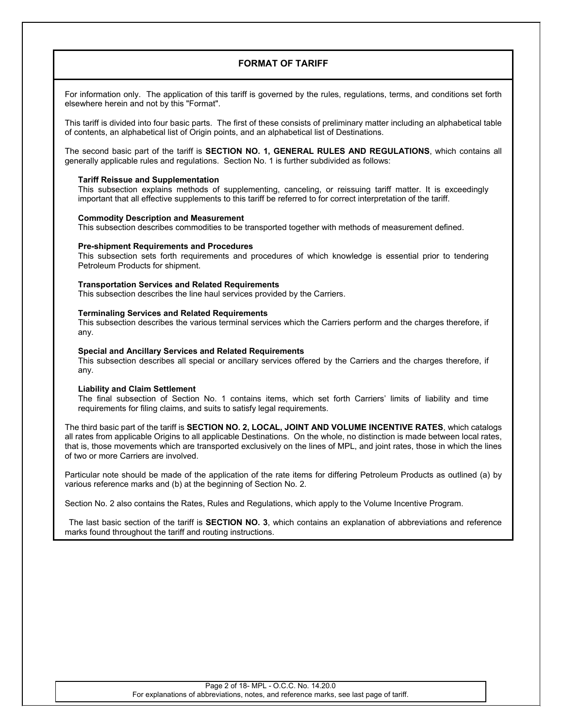## **FORMAT OF TARIFF**

For information only. The application of this tariff is governed by the rules, regulations, terms, and conditions set forth elsewhere herein and not by this "Format".

This tariff is divided into four basic parts. The first of these consists of preliminary matter including an alphabetical table of contents, an alphabetical list of Origin points, and an alphabetical list of Destinations.

The second basic part of the tariff is **SECTION NO. 1, GENERAL RULES AND REGULATIONS**, which contains all generally applicable rules and regulations. Section No. 1 is further subdivided as follows:

## **Tariff Reissue and Supplementation**

This subsection explains methods of supplementing, canceling, or reissuing tariff matter. It is exceedingly important that all effective supplements to this tariff be referred to for correct interpretation of the tariff.

## **Commodity Description and Measurement**

This subsection describes commodities to be transported together with methods of measurement defined.

#### **Pre-shipment Requirements and Procedures**

This subsection sets forth requirements and procedures of which knowledge is essential prior to tendering Petroleum Products for shipment.

#### **Transportation Services and Related Requirements**

This subsection describes the line haul services provided by the Carriers.

#### **Terminaling Services and Related Requirements**

This subsection describes the various terminal services which the Carriers perform and the charges therefore, if any.

#### **Special and Ancillary Services and Related Requirements**

This subsection describes all special or ancillary services offered by the Carriers and the charges therefore, if any.

#### **Liability and Claim Settlement**

The final subsection of Section No. 1 contains items, which set forth Carriers' limits of liability and time requirements for filing claims, and suits to satisfy legal requirements.

The third basic part of the tariff is **SECTION NO. 2, LOCAL, JOINT AND VOLUME INCENTIVE RATES**, which catalogs all rates from applicable Origins to all applicable Destinations. On the whole, no distinction is made between local rates, that is, those movements which are transported exclusively on the lines of MPL, and joint rates, those in which the lines of two or more Carriers are involved.

Particular note should be made of the application of the rate items for differing Petroleum Products as outlined (a) by various reference marks and (b) at the beginning of Section No. 2.

Section No. 2 also contains the Rates, Rules and Regulations, which apply to the Volume Incentive Program.

The last basic section of the tariff is **SECTION NO. 3**, which contains an explanation of abbreviations and reference marks found throughout the tariff and routing instructions.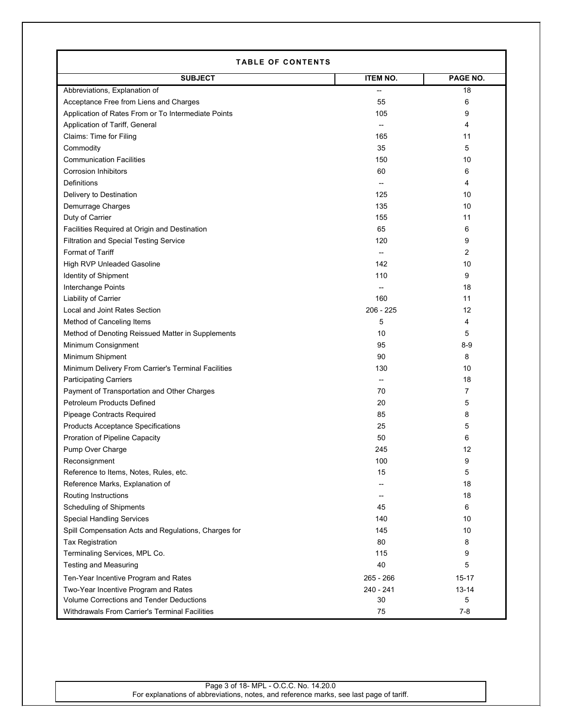| <b>TABLE OF CONTENTS</b>                             |                 |           |  |
|------------------------------------------------------|-----------------|-----------|--|
| <b>SUBJECT</b>                                       | <b>ITEM NO.</b> | PAGE NO.  |  |
| Abbreviations, Explanation of                        |                 | 18        |  |
| Acceptance Free from Liens and Charges               | 55              | 6         |  |
| Application of Rates From or To Intermediate Points  | 105             | 9         |  |
| Application of Tariff, General                       |                 | 4         |  |
| Claims: Time for Filing                              | 165             | 11        |  |
| Commodity                                            | 35              | 5         |  |
| <b>Communication Facilities</b>                      | 150             | 10        |  |
| <b>Corrosion Inhibitors</b>                          | 60              | 6         |  |
| Definitions                                          | $\overline{a}$  | 4         |  |
| Delivery to Destination                              | 125             | 10        |  |
| Demurrage Charges                                    | 135             | 10        |  |
| Duty of Carrier                                      | 155             | 11        |  |
| Facilities Required at Origin and Destination        | 65              | 6         |  |
| <b>Filtration and Special Testing Service</b>        | 120             | 9         |  |
| <b>Format of Tariff</b>                              | $\overline{a}$  | 2         |  |
| High RVP Unleaded Gasoline                           | 142             | 10        |  |
| Identity of Shipment                                 | 110             | 9         |  |
| Interchange Points                                   |                 | 18        |  |
| <b>Liability of Carrier</b>                          | 160             | 11        |  |
| Local and Joint Rates Section                        | $206 - 225$     | 12        |  |
| Method of Canceling Items                            | 5               | 4         |  |
| Method of Denoting Reissued Matter in Supplements    | 10              | 5         |  |
| Minimum Consignment                                  | 95              | $8-9$     |  |
| Minimum Shipment                                     | 90              | 8         |  |
| Minimum Delivery From Carrier's Terminal Facilities  | 130             | 10        |  |
| <b>Participating Carriers</b>                        | --              | 18        |  |
| Payment of Transportation and Other Charges          | 70              | 7         |  |
| Petroleum Products Defined                           | 20              | 5         |  |
| Pipeage Contracts Required                           | 85              | 8         |  |
| <b>Products Acceptance Specifications</b>            | 25              | 5         |  |
| <b>Proration of Pipeline Capacity</b>                | 50              | 6         |  |
| Pump Over Charge                                     | 245             | 12        |  |
| Reconsignment                                        | 100             | 9         |  |
| Reference to Items, Notes, Rules, etc.               | 15              | 5         |  |
| Reference Marks, Explanation of                      | --              | 18        |  |
| Routing Instructions                                 | --              | 18        |  |
| <b>Scheduling of Shipments</b>                       | 45              | 6         |  |
| <b>Special Handling Services</b>                     | 140             | 10        |  |
| Spill Compensation Acts and Regulations, Charges for | 145             | 10        |  |
| Tax Registration                                     | 80              | 8         |  |
| Terminaling Services, MPL Co.                        | 115             | 9         |  |
| <b>Testing and Measuring</b>                         | 40              | 5         |  |
| Ten-Year Incentive Program and Rates                 | 265 - 266       | 15-17     |  |
| Two-Year Incentive Program and Rates                 | 240 - 241       | $13 - 14$ |  |
| Volume Corrections and Tender Deductions             | 30              | 5         |  |
| Withdrawals From Carrier's Terminal Facilities       | 75              | $7 - 8$   |  |

Г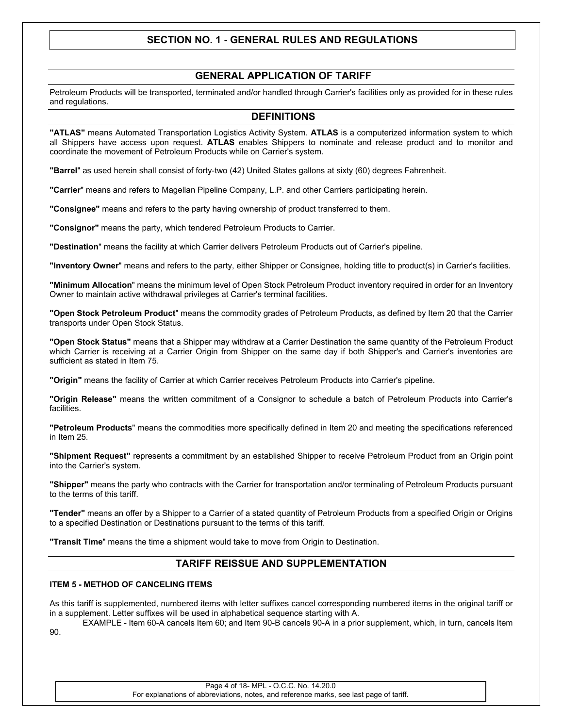# **SECTION NO. 1 - GENERAL RULES AND REGULATIONS**

## **GENERAL APPLICATION OF TARIFF**

Petroleum Products will be transported, terminated and/or handled through Carrier's facilities only as provided for in these rules and regulations.

## **DEFINITIONS**

**"ATLAS"** means Automated Transportation Logistics Activity System. **ATLAS** is a computerized information system to which all Shippers have access upon request. **ATLAS** enables Shippers to nominate and release product and to monitor and coordinate the movement of Petroleum Products while on Carrier's system.

**"Barrel**" as used herein shall consist of forty-two (42) United States gallons at sixty (60) degrees Fahrenheit.

**"Carrier**" means and refers to Magellan Pipeline Company, L.P. and other Carriers participating herein.

**"Consignee"** means and refers to the party having ownership of product transferred to them.

**"Consignor"** means the party, which tendered Petroleum Products to Carrier.

**"Destination**" means the facility at which Carrier delivers Petroleum Products out of Carrier's pipeline.

**"Inventory Owner**" means and refers to the party, either Shipper or Consignee, holding title to product(s) in Carrier's facilities.

**"Minimum Allocation**" means the minimum level of Open Stock Petroleum Product inventory required in order for an Inventory Owner to maintain active withdrawal privileges at Carrier's terminal facilities.

**"Open Stock Petroleum Product**" means the commodity grades of Petroleum Products, as defined by Item 20 that the Carrier transports under Open Stock Status.

**"Open Stock Status"** means that a Shipper may withdraw at a Carrier Destination the same quantity of the Petroleum Product which Carrier is receiving at a Carrier Origin from Shipper on the same day if both Shipper's and Carrier's inventories are sufficient as stated in Item 75.

**"Origin"** means the facility of Carrier at which Carrier receives Petroleum Products into Carrier's pipeline.

**"Origin Release"** means the written commitment of a Consignor to schedule a batch of Petroleum Products into Carrier's facilities.

**"Petroleum Products**" means the commodities more specifically defined in Item 20 and meeting the specifications referenced in Item 25.

**"Shipment Request"** represents a commitment by an established Shipper to receive Petroleum Product from an Origin point into the Carrier's system.

**"Shipper"** means the party who contracts with the Carrier for transportation and/or terminaling of Petroleum Products pursuant to the terms of this tariff.

**"Tender"** means an offer by a Shipper to a Carrier of a stated quantity of Petroleum Products from a specified Origin or Origins to a specified Destination or Destinations pursuant to the terms of this tariff.

**"Transit Time**" means the time a shipment would take to move from Origin to Destination.

## **TARIFF REISSUE AND SUPPLEMENTATION**

#### **ITEM 5 - METHOD OF CANCELING ITEMS**

As this tariff is supplemented, numbered items with letter suffixes cancel corresponding numbered items in the original tariff or in a supplement. Letter suffixes will be used in alphabetical sequence starting with A.

EXAMPLE - Item 60-A cancels Item 60; and Item 90-B cancels 90-A in a prior supplement, which, in turn, cancels Item 90.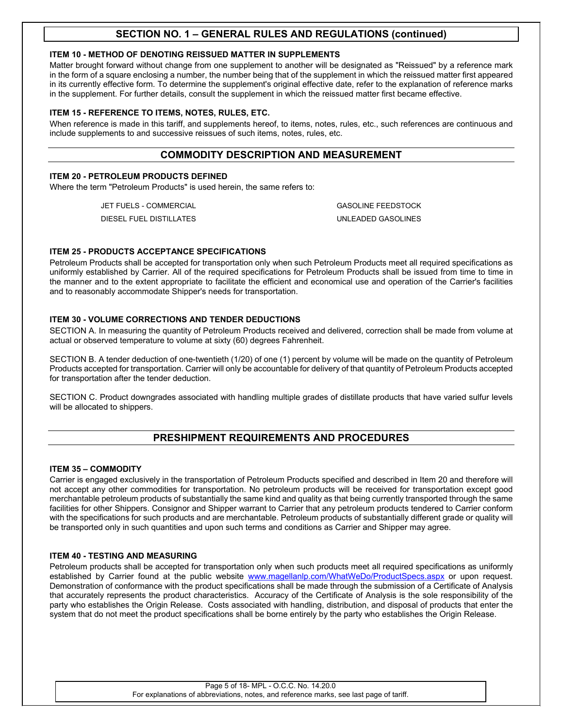## **ITEM 10 - METHOD OF DENOTING REISSUED MATTER IN SUPPLEMENTS**

Matter brought forward without change from one supplement to another will be designated as "Reissued" by a reference mark in the form of a square enclosing a number, the number being that of the supplement in which the reissued matter first appeared in its currently effective form. To determine the supplement's original effective date, refer to the explanation of reference marks in the supplement. For further details, consult the supplement in which the reissued matter first became effective.

## **ITEM 15 - REFERENCE TO ITEMS, NOTES, RULES, ETC.**

When reference is made in this tariff, and supplements hereof, to items, notes, rules, etc., such references are continuous and include supplements to and successive reissues of such items, notes, rules, etc.

## **COMMODITY DESCRIPTION AND MEASUREMENT**

## **ITEM 20 - PETROLEUM PRODUCTS DEFINED**

Where the term "Petroleum Products" is used herein, the same refers to:

JET FUELS - COMMERCIAL GASOLINE FEEDSTOCK

DIESEL FUEL DISTILLATES UNLEADED GASOLINES

## **ITEM 25 - PRODUCTS ACCEPTANCE SPECIFICATIONS**

Petroleum Products shall be accepted for transportation only when such Petroleum Products meet all required specifications as uniformly established by Carrier. All of the required specifications for Petroleum Products shall be issued from time to time in the manner and to the extent appropriate to facilitate the efficient and economical use and operation of the Carrier's facilities and to reasonably accommodate Shipper's needs for transportation.

## **ITEM 30 - VOLUME CORRECTIONS AND TENDER DEDUCTIONS**

SECTION A. In measuring the quantity of Petroleum Products received and delivered, correction shall be made from volume at actual or observed temperature to volume at sixty (60) degrees Fahrenheit.

SECTION B. A tender deduction of one-twentieth (1/20) of one (1) percent by volume will be made on the quantity of Petroleum Products accepted for transportation. Carrier will only be accountable for delivery of that quantity of Petroleum Products accepted for transportation after the tender deduction.

SECTION C. Product downgrades associated with handling multiple grades of distillate products that have varied sulfur levels will be allocated to shippers.

# **PRESHIPMENT REQUIREMENTS AND PROCEDURES**

## **ITEM 35 – COMMODITY**

Carrier is engaged exclusively in the transportation of Petroleum Products specified and described in Item 20 and therefore will not accept any other commodities for transportation. No petroleum products will be received for transportation except good merchantable petroleum products of substantially the same kind and quality as that being currently transported through the same facilities for other Shippers. Consignor and Shipper warrant to Carrier that any petroleum products tendered to Carrier conform with the specifications for such products and are merchantable. Petroleum products of substantially different grade or quality will be transported only in such quantities and upon such terms and conditions as Carrier and Shipper may agree.

## **ITEM 40 - TESTING AND MEASURING**

Petroleum products shall be accepted for transportation only when such products meet all required specifications as uniformly established by Carrier found at the public website [www.magellanlp.com/WhatWeDo/ProductSpecs.aspx](http://www.magellanlp.com/WhatWeDo/ProductSpecs.asp) or upon request. Demonstration of conformance with the product specifications shall be made through the submission of a Certificate of Analysis that accurately represents the product characteristics. Accuracy of the Certificate of Analysis is the sole responsibility of the party who establishes the Origin Release. Costs associated with handling, distribution, and disposal of products that enter the system that do not meet the product specifications shall be borne entirely by the party who establishes the Origin Release.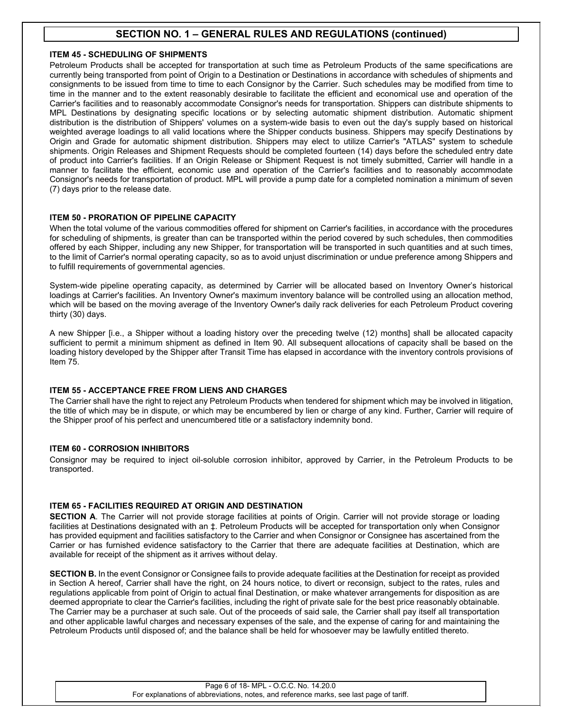## **ITEM 45 - SCHEDULING OF SHIPMENTS**

Petroleum Products shall be accepted for transportation at such time as Petroleum Products of the same specifications are currently being transported from point of Origin to a Destination or Destinations in accordance with schedules of shipments and consignments to be issued from time to time to each Consignor by the Carrier. Such schedules may be modified from time to time in the manner and to the extent reasonably desirable to facilitate the efficient and economical use and operation of the Carrier's facilities and to reasonably accommodate Consignor's needs for transportation. Shippers can distribute shipments to MPL Destinations by designating specific locations or by selecting automatic shipment distribution. Automatic shipment distribution is the distribution of Shippers' volumes on a system-wide basis to even out the day's supply based on historical weighted average loadings to all valid locations where the Shipper conducts business. Shippers may specify Destinations by Origin and Grade for automatic shipment distribution. Shippers may elect to utilize Carrier's "ATLAS" system to schedule shipments. Origin Releases and Shipment Requests should be completed fourteen (14) days before the scheduled entry date of product into Carrier's facilities. If an Origin Release or Shipment Request is not timely submitted, Carrier will handle in a manner to facilitate the efficient, economic use and operation of the Carrier's facilities and to reasonably accommodate Consignor's needs for transportation of product. MPL will provide a pump date for a completed nomination a minimum of seven (7) days prior to the release date.

## **ITEM 50 - PRORATION OF PIPELINE CAPACITY**

When the total volume of the various commodities offered for shipment on Carrier's facilities, in accordance with the procedures for scheduling of shipments, is greater than can be transported within the period covered by such schedules, then commodities offered by each Shipper, including any new Shipper, for transportation will be transported in such quantities and at such times, to the limit of Carrier's normal operating capacity, so as to avoid unjust discrimination or undue preference among Shippers and to fulfill requirements of governmental agencies.

System-wide pipeline operating capacity, as determined by Carrier will be allocated based on Inventory Owner's historical loadings at Carrier's facilities. An Inventory Owner's maximum inventory balance will be controlled using an allocation method, which will be based on the moving average of the Inventory Owner's daily rack deliveries for each Petroleum Product covering thirty (30) days.

A new Shipper [i.e., a Shipper without a loading history over the preceding twelve (12) months] shall be allocated capacity sufficient to permit a minimum shipment as defined in Item 90. All subsequent allocations of capacity shall be based on the loading history developed by the Shipper after Transit Time has elapsed in accordance with the inventory controls provisions of Item 75.

## **ITEM 55 - ACCEPTANCE FREE FROM LIENS AND CHARGES**

The Carrier shall have the right to reject any Petroleum Products when tendered for shipment which may be involved in litigation, the title of which may be in dispute, or which may be encumbered by lien or charge of any kind. Further, Carrier will require of the Shipper proof of his perfect and unencumbered title or a satisfactory indemnity bond.

## **ITEM 60 - CORROSION INHIBITORS**

Consignor may be required to inject oil-soluble corrosion inhibitor, approved by Carrier, in the Petroleum Products to be transported.

## **ITEM 65 - FACILITIES REQUIRED AT ORIGIN AND DESTINATION**

**SECTION A**. The Carrier will not provide storage facilities at points of Origin. Carrier will not provide storage or loading facilities at Destinations designated with an ‡. Petroleum Products will be accepted for transportation only when Consignor has provided equipment and facilities satisfactory to the Carrier and when Consignor or Consignee has ascertained from the Carrier or has furnished evidence satisfactory to the Carrier that there are adequate facilities at Destination, which are available for receipt of the shipment as it arrives without delay.

**SECTION B.** In the event Consignor or Consignee fails to provide adequate facilities at the Destination for receipt as provided in Section A hereof, Carrier shall have the right, on 24 hours notice, to divert or reconsign, subject to the rates, rules and regulations applicable from point of Origin to actual final Destination, or make whatever arrangements for disposition as are deemed appropriate to clear the Carrier's facilities, including the right of private sale for the best price reasonably obtainable. The Carrier may be a purchaser at such sale. Out of the proceeds of said sale, the Carrier shall pay itself all transportation and other applicable lawful charges and necessary expenses of the sale, and the expense of caring for and maintaining the Petroleum Products until disposed of; and the balance shall be held for whosoever may be lawfully entitled thereto.

#### Page 6 of 18- MPL - O.C.C. No. 14.20.0 For explanations of abbreviations, notes, and reference marks, see last page of tariff.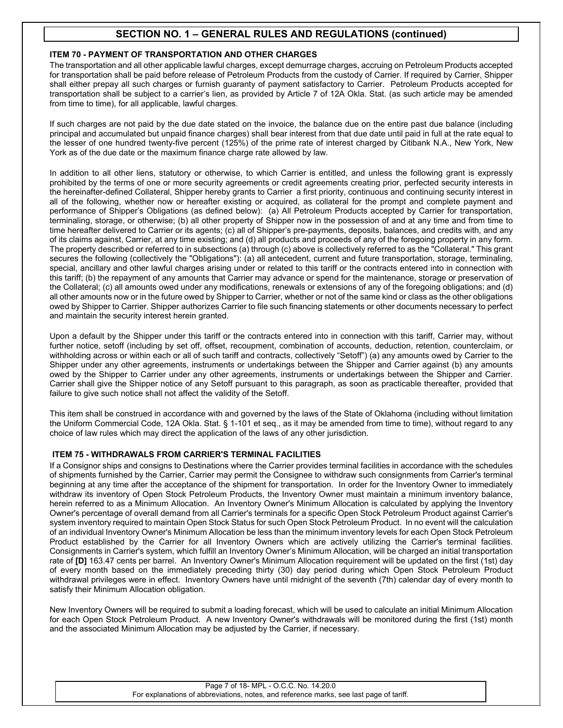## **ITEM 70 - PAYMENT OF TRANSPORTATION AND OTHER CHARGES**

The transportation and all other applicable lawful charges, except demurrage charges, accruing on Petroleum Products accepted for transportation shall be paid before release of Petroleum Products from the custody of Carrier. If required by Carrier, Shipper shall either prepay all such charges or furnish guaranty of payment satisfactory to Carrier. Petroleum Products accepted for transportation shall be subject to a carrier's lien, as provided by Article 7 of 12A Okla. Stat. (as such article may be amended from time to time), for all applicable, lawful charges.

If such charges are not paid by the due date stated on the invoice, the balance due on the entire past due balance (including principal and accumulated but unpaid finance charges) shall bear interest from that due date until paid in full at the rate equal to the lesser of one hundred twenty-five percent (125%) of the prime rate of interest charged by Citibank N.A., New York, New York as of the due date or the maximum finance charge rate allowed by law.

In addition to all other liens, statutory or otherwise, to which Carrier is entitled, and unless the following grant is expressly prohibited by the terms of one or more security agreements or credit agreements creating prior, perfected security interests in the hereinafter-defined Collateral, Shipper hereby grants to Carrier a first priority, continuous and continuing security interest in all of the following, whether now or hereafter existing or acquired, as collateral for the prompt and complete payment and performance of Shipper's Obligations (as defined below): (a) All Petroleum Products accepted by Carrier for transportation, terminaling, storage, or otherwise; (b) all other property of Shipper now in the possession of and at any time and from time to time hereafter delivered to Carrier or its agents; (c) all of Shipper's pre-payments, deposits, balances, and credits with, and any of its claims against, Carrier, at any time existing; and (d) all products and proceeds of any of the foregoing property in any form. The property described or referred to in subsections (a) through (c) above is collectively referred to as the "Collateral." This grant secures the following (collectively the "Obligations"): (a) all antecedent, current and future transportation, storage, terminaling, special, ancillary and other lawful charges arising under or related to this tariff or the contracts entered into in connection with this tariff; (b) the repayment of any amounts that Carrier may advance or spend for the maintenance, storage or preservation of the Collateral; (c) all amounts owed under any modifications, renewals or extensions of any of the foregoing obligations; and (d) all other amounts now or in the future owed by Shipper to Carrier, whether or not of the same kind or class as the other obligations owed by Shipper to Carrier. Shipper authorizes Carrier to file such financing statements or other documents necessary to perfect and maintain the security interest herein granted.

Upon a default by the Shipper under this tariff or the contracts entered into in connection with this tariff, Carrier may, without further notice, setoff (including by set off, offset, recoupment, combination of accounts, deduction, retention, counterclaim, or withholding across or within each or all of such tariff and contracts, collectively "Setoff") (a) any amounts owed by Carrier to the Shipper under any other agreements, instruments or undertakings between the Shipper and Carrier against (b) any amounts owed by the Shipper to Carrier under any other agreements, instruments or undertakings between the Shipper and Carrier. Carrier shall give the Shipper notice of any Setoff pursuant to this paragraph, as soon as practicable thereafter, provided that failure to give such notice shall not affect the validity of the Setoff.

This item shall be construed in accordance with and governed by the laws of the State of Oklahoma (including without limitation the Uniform Commercial Code, 12A Okla. Stat. § 1-101 et seq., as it may be amended from time to time), without regard to any choice of law rules which may direct the application of the laws of any other jurisdiction.

## **ITEM 75 - WITHDRAWALS FROM CARRIER'S TERMINAL FACILITIES**

If a Consignor ships and consigns to Destinations where the Carrier provides terminal facilities in accordance with the schedules of shipments furnished by the Carrier, Carrier may permit the Consignee to withdraw such consignments from Carrier's terminal beginning at any time after the acceptance of the shipment for transportation. In order for the Inventory Owner to immediately withdraw its inventory of Open Stock Petroleum Products, the Inventory Owner must maintain a minimum inventory balance, herein referred to as a Minimum Allocation. An Inventory Owner's Minimum Allocation is calculated by applying the Inventory Owner's percentage of overall demand from all Carrier's terminals for a specific Open Stock Petroleum Product against Carrier's system inventory required to maintain Open Stock Status for such Open Stock Petroleum Product. In no event will the calculation of an individual Inventory Owner's Minimum Allocation be less than the minimum inventory levels for each Open Stock Petroleum Product established by the Carrier for all Inventory Owners which are actively utilizing the Carrier's terminal facilities. Consignments in Carrier's system, which fulfill an Inventory Owner's Minimum Allocation, will be charged an initial transportation rate of **[D]** 163.47 cents per barrel. An Inventory Owner's Minimum Allocation requirement will be updated on the first (1st) day of every month based on the immediately preceding thirty (30) day period during which Open Stock Petroleum Product withdrawal privileges were in effect. Inventory Owners have until midnight of the seventh (7th) calendar day of every month to satisfy their Minimum Allocation obligation.

New Inventory Owners will be required to submit a loading forecast, which will be used to calculate an initial Minimum Allocation for each Open Stock Petroleum Product. A new Inventory Owner's withdrawals will be monitored during the first (1st) month and the associated Minimum Allocation may be adjusted by the Carrier, if necessary.

#### Page 7 of 18- MPL - O.C.C. No. 14.20.0 For explanations of abbreviations, notes, and reference marks, see last page of tariff.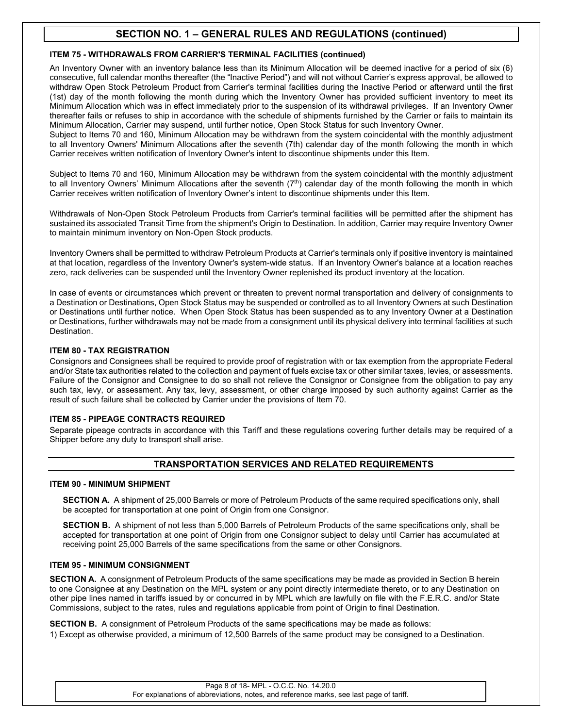## **ITEM 75 - WITHDRAWALS FROM CARRIER'S TERMINAL FACILITIES (continued)**

An Inventory Owner with an inventory balance less than its Minimum Allocation will be deemed inactive for a period of six (6) consecutive, full calendar months thereafter (the "Inactive Period") and will not without Carrier's express approval, be allowed to withdraw Open Stock Petroleum Product from Carrier's terminal facilities during the Inactive Period or afterward until the first (1st) day of the month following the month during which the Inventory Owner has provided sufficient inventory to meet its Minimum Allocation which was in effect immediately prior to the suspension of its withdrawal privileges. If an Inventory Owner thereafter fails or refuses to ship in accordance with the schedule of shipments furnished by the Carrier or fails to maintain its Minimum Allocation, Carrier may suspend, until further notice, Open Stock Status for such Inventory Owner.

Subject to Items 70 and 160, Minimum Allocation may be withdrawn from the system coincidental with the monthly adjustment to all Inventory Owners' Minimum Allocations after the seventh (7th) calendar day of the month following the month in which Carrier receives written notification of Inventory Owner's intent to discontinue shipments under this Item.

Subject to Items 70 and 160, Minimum Allocation may be withdrawn from the system coincidental with the monthly adjustment to all Inventory Owners' Minimum Allocations after the seventh  $(7<sup>th</sup>)$  calendar day of the month following the month in which Carrier receives written notification of Inventory Owner's intent to discontinue shipments under this Item.

Withdrawals of Non-Open Stock Petroleum Products from Carrier's terminal facilities will be permitted after the shipment has sustained its associated Transit Time from the shipment's Origin to Destination. In addition, Carrier may require Inventory Owner to maintain minimum inventory on Non-Open Stock products.

Inventory Owners shall be permitted to withdraw Petroleum Products at Carrier's terminals only if positive inventory is maintained at that location, regardless of the Inventory Owner's system-wide status. If an Inventory Owner's balance at a location reaches zero, rack deliveries can be suspended until the Inventory Owner replenished its product inventory at the location.

In case of events or circumstances which prevent or threaten to prevent normal transportation and delivery of consignments to a Destination or Destinations, Open Stock Status may be suspended or controlled as to all Inventory Owners at such Destination or Destinations until further notice. When Open Stock Status has been suspended as to any Inventory Owner at a Destination or Destinations, further withdrawals may not be made from a consignment until its physical delivery into terminal facilities at such Destination.

## **ITEM 80 - TAX REGISTRATION**

Consignors and Consignees shall be required to provide proof of registration with or tax exemption from the appropriate Federal and/or State tax authorities related to the collection and payment of fuels excise tax or other similar taxes, levies, or assessments. Failure of the Consignor and Consignee to do so shall not relieve the Consignor or Consignee from the obligation to pay any such tax, levy, or assessment. Any tax, levy, assessment, or other charge imposed by such authority against Carrier as the result of such failure shall be collected by Carrier under the provisions of Item 70.

## **ITEM 85 - PIPEAGE CONTRACTS REQUIRED**

Separate pipeage contracts in accordance with this Tariff and these regulations covering further details may be required of a Shipper before any duty to transport shall arise.

## **TRANSPORTATION SERVICES AND RELATED REQUIREMENTS**

## **ITEM 90 - MINIMUM SHIPMENT**

**SECTION A.** A shipment of 25,000 Barrels or more of Petroleum Products of the same required specifications only, shall be accepted for transportation at one point of Origin from one Consignor.

**SECTION B.** A shipment of not less than 5,000 Barrels of Petroleum Products of the same specifications only, shall be accepted for transportation at one point of Origin from one Consignor subject to delay until Carrier has accumulated at receiving point 25,000 Barrels of the same specifications from the same or other Consignors.

## **ITEM 95 - MINIMUM CONSIGNMENT**

**SECTION A.** A consignment of Petroleum Products of the same specifications may be made as provided in Section B herein to one Consignee at any Destination on the MPL system or any point directly intermediate thereto, or to any Destination on other pipe lines named in tariffs issued by or concurred in by MPL which are lawfully on file with the F.E.R.C. and/or State Commissions, subject to the rates, rules and regulations applicable from point of Origin to final Destination.

**SECTION B.** A consignment of Petroleum Products of the same specifications may be made as follows: 1) Except as otherwise provided, a minimum of 12,500 Barrels of the same product may be consigned to a Destination.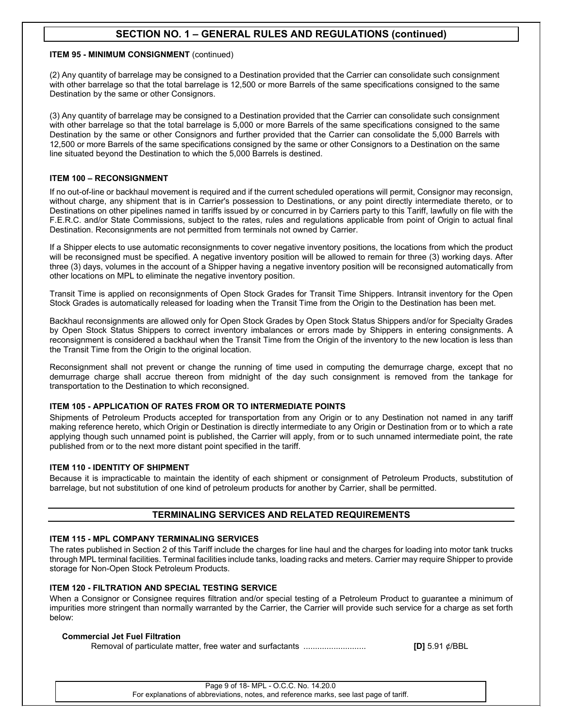## **ITEM 95 - MINIMUM CONSIGNMENT** (continued)

(2) Any quantity of barrelage may be consigned to a Destination provided that the Carrier can consolidate such consignment with other barrelage so that the total barrelage is 12,500 or more Barrels of the same specifications consigned to the same Destination by the same or other Consignors.

(3) Any quantity of barrelage may be consigned to a Destination provided that the Carrier can consolidate such consignment with other barrelage so that the total barrelage is 5,000 or more Barrels of the same specifications consigned to the same Destination by the same or other Consignors and further provided that the Carrier can consolidate the 5,000 Barrels with 12,500 or more Barrels of the same specifications consigned by the same or other Consignors to a Destination on the same line situated beyond the Destination to which the 5,000 Barrels is destined.

## **ITEM 100 – RECONSIGNMENT**

If no out-of-line or backhaul movement is required and if the current scheduled operations will permit, Consignor may reconsign, without charge, any shipment that is in Carrier's possession to Destinations, or any point directly intermediate thereto, or to Destinations on other pipelines named in tariffs issued by or concurred in by Carriers party to this Tariff, lawfully on file with the F.E.R.C. and/or State Commissions, subject to the rates, rules and regulations applicable from point of Origin to actual final Destination. Reconsignments are not permitted from terminals not owned by Carrier.

If a Shipper elects to use automatic reconsignments to cover negative inventory positions, the locations from which the product will be reconsigned must be specified. A negative inventory position will be allowed to remain for three (3) working days. After three (3) days, volumes in the account of a Shipper having a negative inventory position will be reconsigned automatically from other locations on MPL to eliminate the negative inventory position.

Transit Time is applied on reconsignments of Open Stock Grades for Transit Time Shippers. Intransit inventory for the Open Stock Grades is automatically released for loading when the Transit Time from the Origin to the Destination has been met.

Backhaul reconsignments are allowed only for Open Stock Grades by Open Stock Status Shippers and/or for Specialty Grades by Open Stock Status Shippers to correct inventory imbalances or errors made by Shippers in entering consignments. A reconsignment is considered a backhaul when the Transit Time from the Origin of the inventory to the new location is less than the Transit Time from the Origin to the original location.

Reconsignment shall not prevent or change the running of time used in computing the demurrage charge, except that no demurrage charge shall accrue thereon from midnight of the day such consignment is removed from the tankage for transportation to the Destination to which reconsigned.

## **ITEM 105 - APPLICATION OF RATES FROM OR TO INTERMEDIATE POINTS**

Shipments of Petroleum Products accepted for transportation from any Origin or to any Destination not named in any tariff making reference hereto, which Origin or Destination is directly intermediate to any Origin or Destination from or to which a rate applying though such unnamed point is published, the Carrier will apply, from or to such unnamed intermediate point, the rate published from or to the next more distant point specified in the tariff.

## **ITEM 110 - IDENTITY OF SHIPMENT**

Because it is impracticable to maintain the identity of each shipment or consignment of Petroleum Products, substitution of barrelage, but not substitution of one kind of petroleum products for another by Carrier, shall be permitted.

## **TERMINALING SERVICES AND RELATED REQUIREMENTS**

#### **ITEM 115 - MPL COMPANY TERMINALING SERVICES**

The rates published in Section 2 of this Tariff include the charges for line haul and the charges for loading into motor tank trucks through MPL terminal facilities. Terminal facilities include tanks, loading racks and meters. Carrier may require Shipper to provide storage for Non-Open Stock Petroleum Products.

## **ITEM 120 - FILTRATION AND SPECIAL TESTING SERVICE**

When a Consignor or Consignee requires filtration and/or special testing of a Petroleum Product to guarantee a minimum of impurities more stringent than normally warranted by the Carrier, the Carrier will provide such service for a charge as set forth below:

## **Commercial Jet Fuel Filtration**

Removal of particulate matter, free water and surfactants ........................... **[D]** 5.91 ¢/BBL

Page 9 of 18- MPL - O.C.C. No. 14.20.0 For explanations of abbreviations, notes, and reference marks, see last page of tariff.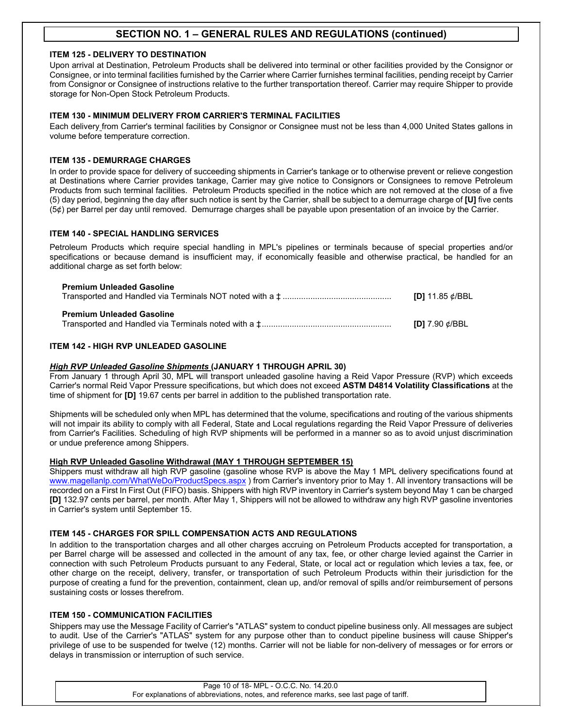## **ITEM 125 - DELIVERY TO DESTINATION**

Upon arrival at Destination, Petroleum Products shall be delivered into terminal or other facilities provided by the Consignor or Consignee, or into terminal facilities furnished by the Carrier where Carrier furnishes terminal facilities, pending receipt by Carrier from Consignor or Consignee of instructions relative to the further transportation thereof. Carrier may require Shipper to provide storage for Non-Open Stock Petroleum Products.

## **ITEM 130 - MINIMUM DELIVERY FROM CARRIER'S TERMINAL FACILITIES**

Each delivery from Carrier's terminal facilities by Consignor or Consignee must not be less than 4,000 United States gallons in volume before temperature correction.

## **ITEM 135 - DEMURRAGE CHARGES**

In order to provide space for delivery of succeeding shipments in Carrier's tankage or to otherwise prevent or relieve congestion at Destinations where Carrier provides tankage, Carrier may give notice to Consignors or Consignees to remove Petroleum Products from such terminal facilities. Petroleum Products specified in the notice which are not removed at the close of a five (5) day period, beginning the day after such notice is sent by the Carrier, shall be subject to a demurrage charge of **[U]** five cents (5¢) per Barrel per day until removed. Demurrage charges shall be payable upon presentation of an invoice by the Carrier.

## **ITEM 140 - SPECIAL HANDLING SERVICES**

Petroleum Products which require special handling in MPL's pipelines or terminals because of special properties and/or specifications or because demand is insufficient may, if economically feasible and otherwise practical, be handled for an additional charge as set forth below:

| <b>Premium Unleaded Gasoline</b> | <b>[D]</b> 11.85 $\phi$ /BBL |
|----------------------------------|------------------------------|
| <b>Premium Unleaded Gasoline</b> | [D] $7.90 \notin$ /BBL       |

## **ITEM 142 - HIGH RVP UNLEADED GASOLINE**

#### *High RVP Unleaded Gasoline Shipments* **(JANUARY 1 THROUGH APRIL 30)**

From January 1 through April 30, MPL will transport unleaded gasoline having a Reid Vapor Pressure (RVP) which exceeds Carrier's normal Reid Vapor Pressure specifications, but which does not exceed **ASTM D4814 Volatility Classifications** at the time of shipment for **[D]** 19.67 cents per barrel in addition to the published transportation rate.

Shipments will be scheduled only when MPL has determined that the volume, specifications and routing of the various shipments will not impair its ability to comply with all Federal, State and Local regulations regarding the Reid Vapor Pressure of deliveries from Carrier's Facilities. Scheduling of high RVP shipments will be performed in a manner so as to avoid unjust discrimination or undue preference among Shippers.

#### **High RVP Unleaded Gasoline Withdrawal (MAY 1 THROUGH SEPTEMBER 15)**

Shippers must withdraw all high RVP gasoline (gasoline whose RVP is above the May 1 MPL delivery specifications found at [www.magellanlp.com/WhatWeDo/ProductSpecs.aspx](http://www.magellanlp.com/WhatWeDo/ProductSpecs.asp)) from Carrier's inventory prior to May 1. All inventory transactions will be recorded on a First In First Out (FIFO) basis. Shippers with high RVP inventory in Carrier's system beyond May 1 can be charged **[D]** 132.97 cents per barrel, per month. After May 1, Shippers will not be allowed to withdraw any high RVP gasoline inventories in Carrier's system until September 15.

## **ITEM 145 - CHARGES FOR SPILL COMPENSATION ACTS AND REGULATIONS**

In addition to the transportation charges and all other charges accruing on Petroleum Products accepted for transportation, a per Barrel charge will be assessed and collected in the amount of any tax, fee, or other charge levied against the Carrier in connection with such Petroleum Products pursuant to any Federal, State, or local act or regulation which levies a tax, fee, or other charge on the receipt, delivery, transfer, or transportation of such Petroleum Products within their jurisdiction for the purpose of creating a fund for the prevention, containment, clean up, and/or removal of spills and/or reimbursement of persons sustaining costs or losses therefrom.

#### **ITEM 150 - COMMUNICATION FACILITIES**

Shippers may use the Message Facility of Carrier's "ATLAS" system to conduct pipeline business only. All messages are subject to audit. Use of the Carrier's "ATLAS" system for any purpose other than to conduct pipeline business will cause Shipper's privilege of use to be suspended for twelve (12) months. Carrier will not be liable for non-delivery of messages or for errors or delays in transmission or interruption of such service.

> Page 10 of 18- MPL - O.C.C. No. 14.20.0 For explanations of abbreviations, notes, and reference marks, see last page of tariff.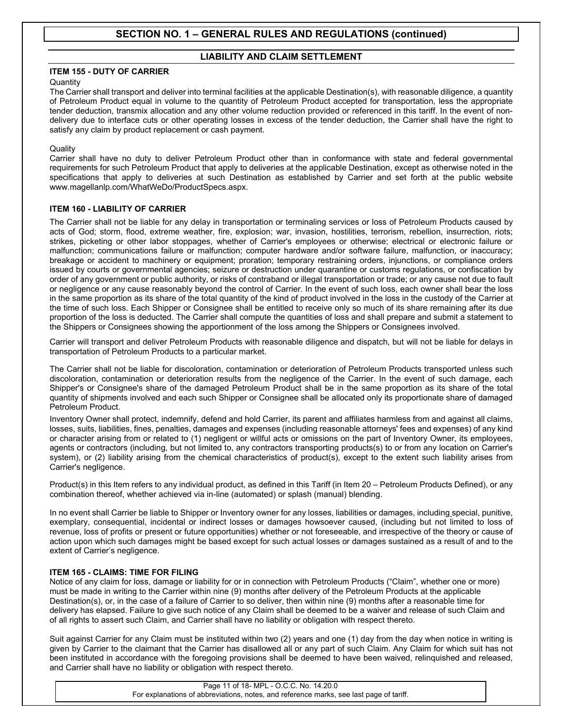## **LIABILITY AND CLAIM SETTLEMENT**

## **ITEM 155 - DUTY OF CARRIER**

## **Quantity**

The Carrier shall transport and deliver into terminal facilities at the applicable Destination(s), with reasonable diligence, a quantity of Petroleum Product equal in volume to the quantity of Petroleum Product accepted for transportation, less the appropriate tender deduction, transmix allocation and any other volume reduction provided or referenced in this tariff. In the event of nondelivery due to interface cuts or other operating losses in excess of the tender deduction, the Carrier shall have the right to satisfy any claim by product replacement or cash payment.

## **Quality**

Carrier shall have no duty to deliver Petroleum Product other than in conformance with state and federal governmental requirements for such Petroleum Product that apply to deliveries at the applicable Destination, except as otherwise noted in the specifications that apply to deliveries at such Destination as established by Carrier and set forth at the public website www.magellanlp.com/WhatWeDo/ProductSpecs.aspx.

## **ITEM 160 - LIABILITY OF CARRIER**

The Carrier shall not be liable for any delay in transportation or terminaling services or loss of Petroleum Products caused by acts of God; storm, flood, extreme weather, fire, explosion; war, invasion, hostilities, terrorism, rebellion, insurrection, riots; strikes, picketing or other labor stoppages, whether of Carrier's employees or otherwise; electrical or electronic failure or malfunction; communications failure or malfunction; computer hardware and/or software failure, malfunction, or inaccuracy; breakage or accident to machinery or equipment; proration; temporary restraining orders, injunctions, or compliance orders issued by courts or governmental agencies; seizure or destruction under quarantine or customs regulations, or confiscation by order of any government or public authority, or risks of contraband or illegal transportation or trade; or any cause not due to fault or negligence or any cause reasonably beyond the control of Carrier. In the event of such loss, each owner shall bear the loss in the same proportion as its share of the total quantity of the kind of product involved in the loss in the custody of the Carrier at the time of such loss. Each Shipper or Consignee shall be entitled to receive only so much of its share remaining after its due proportion of the loss is deducted. The Carrier shall compute the quantities of loss and shall prepare and submit a statement to the Shippers or Consignees showing the apportionment of the loss among the Shippers or Consignees involved.

Carrier will transport and deliver Petroleum Products with reasonable diligence and dispatch, but will not be liable for delays in transportation of Petroleum Products to a particular market.

The Carrier shall not be liable for discoloration, contamination or deterioration of Petroleum Products transported unless such discoloration, contamination or deterioration results from the negligence of the Carrier. In the event of such damage, each Shipper's or Consignee's share of the damaged Petroleum Product shall be in the same proportion as its share of the total quantity of shipments involved and each such Shipper or Consignee shall be allocated only its proportionate share of damaged Petroleum Product.

Inventory Owner shall protect, indemnify, defend and hold Carrier, its parent and affiliates harmless from and against all claims, losses, suits, liabilities, fines, penalties, damages and expenses (including reasonable attorneys' fees and expenses) of any kind or character arising from or related to (1) negligent or willful acts or omissions on the part of Inventory Owner, its employees, agents or contractors (including, but not limited to, any contractors transporting products(s) to or from any location on Carrier's system), or (2) liability arising from the chemical characteristics of product(s), except to the extent such liability arises from Carrier's negligence.

Product(s) in this Item refers to any individual product, as defined in this Tariff (in Item 20 – Petroleum Products Defined), or any combination thereof, whether achieved via in-line (automated) or splash (manual) blending.

In no event shall Carrier be liable to Shipper or Inventory owner for any losses, liabilities or damages, including special, punitive, exemplary, consequential, incidental or indirect losses or damages howsoever caused, (including but not limited to loss of revenue, loss of profits or present or future opportunities) whether or not foreseeable, and irrespective of the theory or cause of action upon which such damages might be based except for such actual losses or damages sustained as a result of and to the extent of Carrier's negligence.

## **ITEM 165 - CLAIMS: TIME FOR FILING**

Notice of any claim for loss, damage or liability for or in connection with Petroleum Products ("Claim", whether one or more) must be made in writing to the Carrier within nine (9) months after delivery of the Petroleum Products at the applicable Destination(s), or, in the case of a failure of Carrier to so deliver, then within nine (9) months after a reasonable time for delivery has elapsed. Failure to give such notice of any Claim shall be deemed to be a waiver and release of such Claim and of all rights to assert such Claim, and Carrier shall have no liability or obligation with respect thereto.

Suit against Carrier for any Claim must be instituted within two (2) years and one (1) day from the day when notice in writing is given by Carrier to the claimant that the Carrier has disallowed all or any part of such Claim. Any Claim for which suit has not been instituted in accordance with the foregoing provisions shall be deemed to have been waived, relinquished and released, and Carrier shall have no liability or obligation with respect thereto.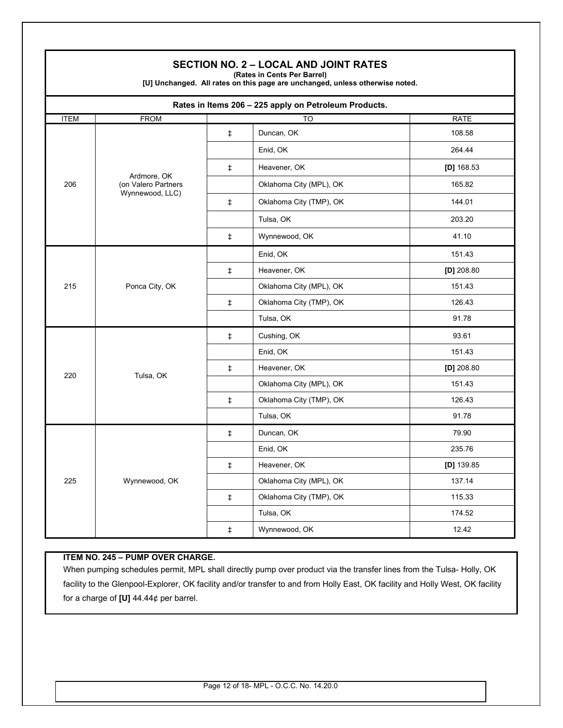|             |                                    |            | <b>SECTION NO. 2 - LOCAL AND JOINT RATES</b><br>(Rates in Cents Per Barrel)<br>[U] Unchanged. All rates on this page are unchanged, unless otherwise noted. |              |
|-------------|------------------------------------|------------|-------------------------------------------------------------------------------------------------------------------------------------------------------------|--------------|
|             |                                    |            | Rates in Items 206 - 225 apply on Petroleum Products.                                                                                                       |              |
| <b>ITEM</b> | <b>FROM</b>                        |            | TO                                                                                                                                                          | <b>RATE</b>  |
|             |                                    | $\ddagger$ | Duncan, OK                                                                                                                                                  | 108.58       |
|             |                                    |            | Enid, OK                                                                                                                                                    | 264.44       |
|             |                                    | ŧ.         | Heavener, OK                                                                                                                                                | [D] $168.53$ |
| 206         | Ardmore, OK<br>(on Valero Partners |            | Oklahoma City (MPL), OK                                                                                                                                     | 165.82       |
|             | Wynnewood, LLC)                    | $\ddagger$ | Oklahoma City (TMP), OK                                                                                                                                     | 144.01       |
|             |                                    |            | Tulsa, OK                                                                                                                                                   | 203.20       |
|             |                                    | $\ddagger$ | Wynnewood, OK                                                                                                                                               | 41.10        |
|             |                                    |            | Enid, OK                                                                                                                                                    | 151.43       |
|             | Ponca City, OK                     | $\ddagger$ | Heavener, OK                                                                                                                                                | $[D]$ 208.80 |
| 215         |                                    |            | Oklahoma City (MPL), OK                                                                                                                                     | 151.43       |
|             |                                    | $\ddagger$ | Oklahoma City (TMP), OK                                                                                                                                     | 126.43       |
|             |                                    |            | Tulsa, OK                                                                                                                                                   | 91.78        |
|             | Tulsa, OK                          | $\ddagger$ | Cushing, OK                                                                                                                                                 | 93.61        |
|             |                                    |            | Enid, OK                                                                                                                                                    | 151.43       |
| 220         |                                    | $\ddagger$ | Heavener, OK                                                                                                                                                | [D] $208.80$ |
|             |                                    |            | Oklahoma City (MPL), OK                                                                                                                                     | 151.43       |
|             |                                    | ŧ.         | Oklahoma City (TMP), OK                                                                                                                                     | 126.43       |
|             |                                    |            | Tulsa, OK                                                                                                                                                   | 91.78        |
|             |                                    | $\ddagger$ | Duncan, OK                                                                                                                                                  | 79.90        |
|             | Wynnewood, OK                      |            | Enid, OK                                                                                                                                                    | 235.76       |
|             |                                    | $\ddagger$ | Heavener, OK                                                                                                                                                | $[D]$ 139.85 |
| 225         |                                    |            | Oklahoma City (MPL), OK                                                                                                                                     | 137.14       |
|             |                                    | $\ddagger$ | Oklahoma City (TMP), OK                                                                                                                                     | 115.33       |
|             |                                    |            | Tulsa, OK                                                                                                                                                   | 174.52       |
|             |                                    | $\ddagger$ | Wynnewood, OK                                                                                                                                               | 12.42        |

# **ITEM NO. 245 – PUMP OVER CHARGE.**

Г

When pumping schedules permit, MPL shall directly pump over product via the transfer lines from the Tulsa- Holly, OK facility to the Glenpool-Explorer, OK facility and/or transfer to and from Holly East, OK facility and Holly West, OK facility for a charge of **[U]** 44.44¢ per barrel.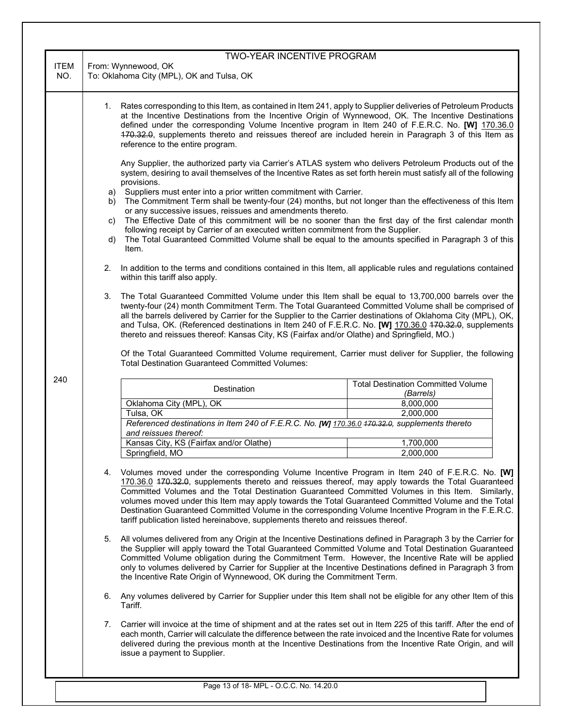|             | <b>TWO-YEAR INCENTIVE PROGRAM</b>                                                                                                                                                                                                                                                                                                                                                                                                                                                                                                                                                                                    |  |  |  |
|-------------|----------------------------------------------------------------------------------------------------------------------------------------------------------------------------------------------------------------------------------------------------------------------------------------------------------------------------------------------------------------------------------------------------------------------------------------------------------------------------------------------------------------------------------------------------------------------------------------------------------------------|--|--|--|
| <b>ITEM</b> | From: Wynnewood, OK                                                                                                                                                                                                                                                                                                                                                                                                                                                                                                                                                                                                  |  |  |  |
| NO.         | To: Oklahoma City (MPL), OK and Tulsa, OK                                                                                                                                                                                                                                                                                                                                                                                                                                                                                                                                                                            |  |  |  |
|             | 1. Rates corresponding to this Item, as contained in Item 241, apply to Supplier deliveries of Petroleum Products<br>at the Incentive Destinations from the Incentive Origin of Wynnewood, OK. The Incentive Destinations<br>defined under the corresponding Volume Incentive program in Item 240 of F.E.R.C. No. [W] 170.36.0<br>470.32.0, supplements thereto and reissues thereof are included herein in Paragraph 3 of this Item as<br>reference to the entire program.                                                                                                                                          |  |  |  |
|             | Any Supplier, the authorized party via Carrier's ATLAS system who delivers Petroleum Products out of the<br>system, desiring to avail themselves of the Incentive Rates as set forth herein must satisfy all of the following<br>provisions.                                                                                                                                                                                                                                                                                                                                                                         |  |  |  |
|             | a) Suppliers must enter into a prior written commitment with Carrier.<br>The Commitment Term shall be twenty-four (24) months, but not longer than the effectiveness of this Item<br>b)<br>or any successive issues, reissues and amendments thereto.<br>The Effective Date of this commitment will be no sooner than the first day of the first calendar month<br>C)                                                                                                                                                                                                                                                |  |  |  |
|             | following receipt by Carrier of an executed written commitment from the Supplier.<br>The Total Guaranteed Committed Volume shall be equal to the amounts specified in Paragraph 3 of this<br>d)<br>Item.                                                                                                                                                                                                                                                                                                                                                                                                             |  |  |  |
|             | In addition to the terms and conditions contained in this Item, all applicable rules and regulations contained<br>2.<br>within this tariff also apply.                                                                                                                                                                                                                                                                                                                                                                                                                                                               |  |  |  |
|             | The Total Guaranteed Committed Volume under this Item shall be equal to 13,700,000 barrels over the<br>3.<br>twenty-four (24) month Commitment Term. The Total Guaranteed Committed Volume shall be comprised of<br>all the barrels delivered by Carrier for the Supplier to the Carrier destinations of Oklahoma City (MPL), OK,<br>and Tulsa, OK. (Referenced destinations in Item 240 of F.E.R.C. No. [W] 170.36.0 170.32.0, supplements<br>thereto and reissues thereof: Kansas City, KS (Fairfax and/or Olathe) and Springfield, MO.)                                                                           |  |  |  |
|             | Of the Total Guaranteed Committed Volume requirement, Carrier must deliver for Supplier, the following<br><b>Total Destination Guaranteed Committed Volumes:</b>                                                                                                                                                                                                                                                                                                                                                                                                                                                     |  |  |  |
| 240         | <b>Total Destination Committed Volume</b><br>Destination<br>(Barrels)                                                                                                                                                                                                                                                                                                                                                                                                                                                                                                                                                |  |  |  |
|             | Oklahoma City (MPL), OK<br>8,000,000                                                                                                                                                                                                                                                                                                                                                                                                                                                                                                                                                                                 |  |  |  |
|             | 2,000,000<br>Tulsa, OK                                                                                                                                                                                                                                                                                                                                                                                                                                                                                                                                                                                               |  |  |  |
|             | Referenced destinations in Item 240 of F.E.R.C. No. [W] 170.36.0 470.32.0, supplements thereto<br>and reissues thereof:                                                                                                                                                                                                                                                                                                                                                                                                                                                                                              |  |  |  |
|             | Kansas City, KS (Fairfax and/or Olathe)<br>1,700,000                                                                                                                                                                                                                                                                                                                                                                                                                                                                                                                                                                 |  |  |  |
|             | Springfield, MO<br>2,000,000                                                                                                                                                                                                                                                                                                                                                                                                                                                                                                                                                                                         |  |  |  |
|             | Volumes moved under the corresponding Volume Incentive Program in Item 240 of F.E.R.C. No. [W]<br>4.<br>170.36.0 470.32.0, supplements thereto and reissues thereof, may apply towards the Total Guaranteed<br>Committed Volumes and the Total Destination Guaranteed Committed Volumes in this Item. Similarly,<br>volumes moved under this Item may apply towards the Total Guaranteed Committed Volume and the Total<br>Destination Guaranteed Committed Volume in the corresponding Volume Incentive Program in the F.E.R.C.<br>tariff publication listed hereinabove, supplements thereto and reissues thereof. |  |  |  |
|             | All volumes delivered from any Origin at the Incentive Destinations defined in Paragraph 3 by the Carrier for<br>5.<br>the Supplier will apply toward the Total Guaranteed Committed Volume and Total Destination Guaranteed<br>Committed Volume obligation during the Commitment Term. However, the Incentive Rate will be applied<br>only to volumes delivered by Carrier for Supplier at the Incentive Destinations defined in Paragraph 3 from<br>the Incentive Rate Origin of Wynnewood, OK during the Commitment Term.                                                                                         |  |  |  |
|             | Any volumes delivered by Carrier for Supplier under this Item shall not be eligible for any other Item of this<br>6.<br>Tariff.                                                                                                                                                                                                                                                                                                                                                                                                                                                                                      |  |  |  |
|             | Carrier will invoice at the time of shipment and at the rates set out in Item 225 of this tariff. After the end of<br>7.<br>each month, Carrier will calculate the difference between the rate invoiced and the Incentive Rate for volumes<br>delivered during the previous month at the Incentive Destinations from the Incentive Rate Origin, and will<br>issue a payment to Supplier.                                                                                                                                                                                                                             |  |  |  |
|             |                                                                                                                                                                                                                                                                                                                                                                                                                                                                                                                                                                                                                      |  |  |  |
|             | Page 13 of 18- MPL - O.C.C. No. 14.20.0                                                                                                                                                                                                                                                                                                                                                                                                                                                                                                                                                                              |  |  |  |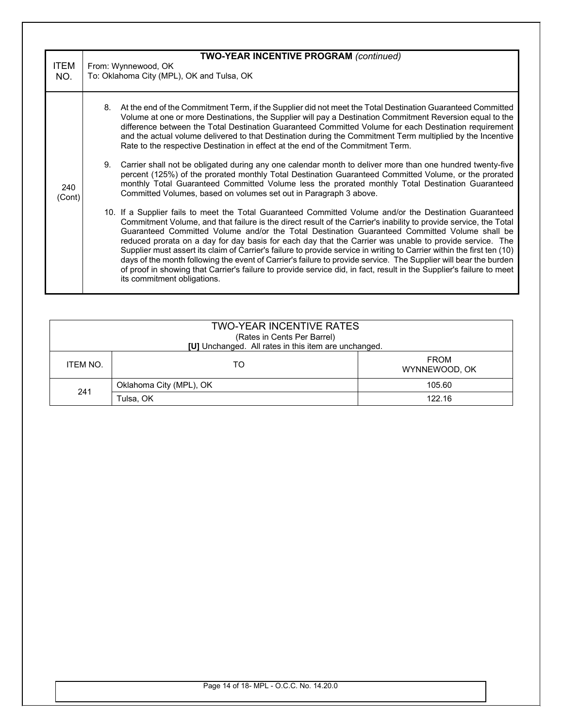| <b>ITEM</b><br>NO. | <b>TWO-YEAR INCENTIVE PROGRAM (continued)</b><br>From: Wynnewood, OK<br>To: Oklahoma City (MPL), OK and Tulsa, OK |                                                                                                                                                                                                                                                                                                                                                                                                                                                                                                                                                                                                                                                                                                                                                                                                                                               |  |
|--------------------|-------------------------------------------------------------------------------------------------------------------|-----------------------------------------------------------------------------------------------------------------------------------------------------------------------------------------------------------------------------------------------------------------------------------------------------------------------------------------------------------------------------------------------------------------------------------------------------------------------------------------------------------------------------------------------------------------------------------------------------------------------------------------------------------------------------------------------------------------------------------------------------------------------------------------------------------------------------------------------|--|
|                    | 8.                                                                                                                | At the end of the Commitment Term, if the Supplier did not meet the Total Destination Guaranteed Committed<br>Volume at one or more Destinations, the Supplier will pay a Destination Commitment Reversion equal to the<br>difference between the Total Destination Guaranteed Committed Volume for each Destination requirement<br>and the actual volume delivered to that Destination during the Commitment Term multiplied by the Incentive<br>Rate to the respective Destination in effect at the end of the Commitment Term.                                                                                                                                                                                                                                                                                                             |  |
| 240<br>(Cont)      | 9.                                                                                                                | Carrier shall not be obligated during any one calendar month to deliver more than one hundred twenty-five<br>percent (125%) of the prorated monthly Total Destination Guaranteed Committed Volume, or the prorated<br>monthly Total Guaranteed Committed Volume less the prorated monthly Total Destination Guaranteed<br>Committed Volumes, based on volumes set out in Paragraph 3 above.                                                                                                                                                                                                                                                                                                                                                                                                                                                   |  |
|                    |                                                                                                                   | 10. If a Supplier fails to meet the Total Guaranteed Committed Volume and/or the Destination Guaranteed<br>Commitment Volume, and that failure is the direct result of the Carrier's inability to provide service, the Total<br>Guaranteed Committed Volume and/or the Total Destination Guaranteed Committed Volume shall be<br>reduced prorata on a day for day basis for each day that the Carrier was unable to provide service. The<br>Supplier must assert its claim of Carrier's failure to provide service in writing to Carrier within the first ten (10)<br>days of the month following the event of Carrier's failure to provide service. The Supplier will bear the burden<br>of proof in showing that Carrier's failure to provide service did, in fact, result in the Supplier's failure to meet<br>its commitment obligations. |  |

|          | <b>TWO-YEAR INCENTIVE RATES</b><br>(Rates in Cents Per Barrel)<br>[U] Unchanged. All rates in this item are unchanged. |                              |
|----------|------------------------------------------------------------------------------------------------------------------------|------------------------------|
| ITEM NO. | TO                                                                                                                     | <b>FROM</b><br>WYNNEWOOD, OK |
| 241      | Oklahoma City (MPL), OK                                                                                                | 105.60                       |
|          | Tulsa, OK                                                                                                              | 122.16                       |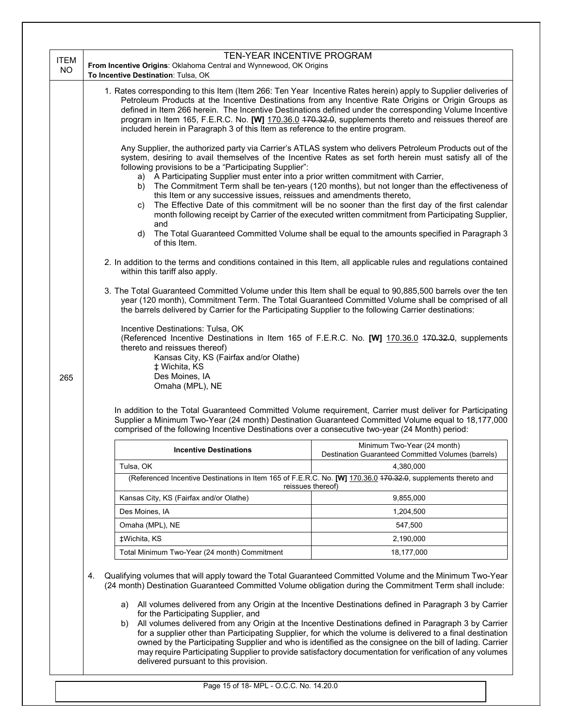|                          | TEN-YEAR INCENTIVE PROGRAM                                                                                                                                                                                                                                                                                                                                                                                                                                                                                                                                                                                                                                                                                                                                                                                                                                                                                                                                                                                                                                                                                                                                                                                                                                                 |  |
|--------------------------|----------------------------------------------------------------------------------------------------------------------------------------------------------------------------------------------------------------------------------------------------------------------------------------------------------------------------------------------------------------------------------------------------------------------------------------------------------------------------------------------------------------------------------------------------------------------------------------------------------------------------------------------------------------------------------------------------------------------------------------------------------------------------------------------------------------------------------------------------------------------------------------------------------------------------------------------------------------------------------------------------------------------------------------------------------------------------------------------------------------------------------------------------------------------------------------------------------------------------------------------------------------------------|--|
| <b>ITEM</b><br><b>NO</b> | From Incentive Origins: Oklahoma Central and Wynnewood, OK Origins                                                                                                                                                                                                                                                                                                                                                                                                                                                                                                                                                                                                                                                                                                                                                                                                                                                                                                                                                                                                                                                                                                                                                                                                         |  |
|                          | To Incentive Destination: Tulsa, OK                                                                                                                                                                                                                                                                                                                                                                                                                                                                                                                                                                                                                                                                                                                                                                                                                                                                                                                                                                                                                                                                                                                                                                                                                                        |  |
|                          | 1. Rates corresponding to this Item (Item 266: Ten Year Incentive Rates herein) apply to Supplier deliveries of<br>Petroleum Products at the Incentive Destinations from any Incentive Rate Origins or Origin Groups as<br>defined in Item 266 herein. The Incentive Destinations defined under the corresponding Volume Incentive<br>program in Item 165, F.E.R.C. No. [W] 170.36.0 470.32.0, supplements thereto and reissues thereof are<br>included herein in Paragraph 3 of this Item as reference to the entire program.                                                                                                                                                                                                                                                                                                                                                                                                                                                                                                                                                                                                                                                                                                                                             |  |
|                          | Any Supplier, the authorized party via Carrier's ATLAS system who delivers Petroleum Products out of the<br>system, desiring to avail themselves of the Incentive Rates as set forth herein must satisfy all of the<br>following provisions to be a "Participating Supplier":<br>a) A Participating Supplier must enter into a prior written commitment with Carrier,<br>b) The Commitment Term shall be ten-years (120 months), but not longer than the effectiveness of<br>this Item or any successive issues, reissues and amendments thereto,<br>The Effective Date of this commitment will be no sooner than the first day of the first calendar<br>C)<br>month following receipt by Carrier of the executed written commitment from Participating Supplier,<br>and<br>The Total Guaranteed Committed Volume shall be equal to the amounts specified in Paragraph 3<br>d)<br>of this Item.<br>2. In addition to the terms and conditions contained in this Item, all applicable rules and regulations contained<br>within this tariff also apply.<br>3. The Total Guaranteed Committed Volume under this Item shall be equal to 90,885,500 barrels over the ten<br>year (120 month), Commitment Term. The Total Guaranteed Committed Volume shall be comprised of all |  |
| 265                      | the barrels delivered by Carrier for the Participating Supplier to the following Carrier destinations:<br>Incentive Destinations: Tulsa, OK<br>(Referenced Incentive Destinations in Item 165 of F.E.R.C. No. [W] 170.36.0 470.32.0, supplements<br>thereto and reissues thereof)<br>Kansas City, KS (Fairfax and/or Olathe)<br>‡ Wichita, KS<br>Des Moines, IA<br>Omaha (MPL), NE                                                                                                                                                                                                                                                                                                                                                                                                                                                                                                                                                                                                                                                                                                                                                                                                                                                                                         |  |
|                          | In addition to the Total Guaranteed Committed Volume requirement, Carrier must deliver for Participating<br>Supplier a Minimum Two-Year (24 month) Destination Guaranteed Committed Volume equal to 18,177,000<br>comprised of the following Incentive Destinations over a consecutive two-year (24 Month) period:                                                                                                                                                                                                                                                                                                                                                                                                                                                                                                                                                                                                                                                                                                                                                                                                                                                                                                                                                         |  |
|                          | Minimum Two-Year (24 month)<br><b>Incentive Destinations</b><br>Destination Guaranteed Committed Volumes (barrels)                                                                                                                                                                                                                                                                                                                                                                                                                                                                                                                                                                                                                                                                                                                                                                                                                                                                                                                                                                                                                                                                                                                                                         |  |
|                          | Tulsa, OK<br>4,380,000                                                                                                                                                                                                                                                                                                                                                                                                                                                                                                                                                                                                                                                                                                                                                                                                                                                                                                                                                                                                                                                                                                                                                                                                                                                     |  |
|                          | (Referenced Incentive Destinations in Item 165 of F.E.R.C. No. [W] 170.36.0 470.32.0, supplements thereto and<br>reissues thereof)                                                                                                                                                                                                                                                                                                                                                                                                                                                                                                                                                                                                                                                                                                                                                                                                                                                                                                                                                                                                                                                                                                                                         |  |
|                          | Kansas City, KS (Fairfax and/or Olathe)<br>9,855,000                                                                                                                                                                                                                                                                                                                                                                                                                                                                                                                                                                                                                                                                                                                                                                                                                                                                                                                                                                                                                                                                                                                                                                                                                       |  |
|                          | Des Moines, IA<br>1,204,500                                                                                                                                                                                                                                                                                                                                                                                                                                                                                                                                                                                                                                                                                                                                                                                                                                                                                                                                                                                                                                                                                                                                                                                                                                                |  |
|                          | Omaha (MPL), NE<br>547,500                                                                                                                                                                                                                                                                                                                                                                                                                                                                                                                                                                                                                                                                                                                                                                                                                                                                                                                                                                                                                                                                                                                                                                                                                                                 |  |
|                          | ‡Wichita, KS<br>2,190,000                                                                                                                                                                                                                                                                                                                                                                                                                                                                                                                                                                                                                                                                                                                                                                                                                                                                                                                                                                                                                                                                                                                                                                                                                                                  |  |
|                          | Total Minimum Two-Year (24 month) Commitment<br>18,177,000                                                                                                                                                                                                                                                                                                                                                                                                                                                                                                                                                                                                                                                                                                                                                                                                                                                                                                                                                                                                                                                                                                                                                                                                                 |  |
|                          | Qualifying volumes that will apply toward the Total Guaranteed Committed Volume and the Minimum Two-Year<br>4.<br>(24 month) Destination Guaranteed Committed Volume obligation during the Commitment Term shall include:<br>All volumes delivered from any Origin at the Incentive Destinations defined in Paragraph 3 by Carrier<br>a)<br>for the Participating Supplier, and<br>All volumes delivered from any Origin at the Incentive Destinations defined in Paragraph 3 by Carrier<br>b)<br>for a supplier other than Participating Supplier, for which the volume is delivered to a final destination<br>owned by the Participating Supplier and who is identified as the consignee on the bill of lading. Carrier                                                                                                                                                                                                                                                                                                                                                                                                                                                                                                                                                  |  |
|                          | may require Participating Supplier to provide satisfactory documentation for verification of any volumes<br>delivered pursuant to this provision.                                                                                                                                                                                                                                                                                                                                                                                                                                                                                                                                                                                                                                                                                                                                                                                                                                                                                                                                                                                                                                                                                                                          |  |

Page 15 of 18- MPL - O.C.C. No. 14.20.0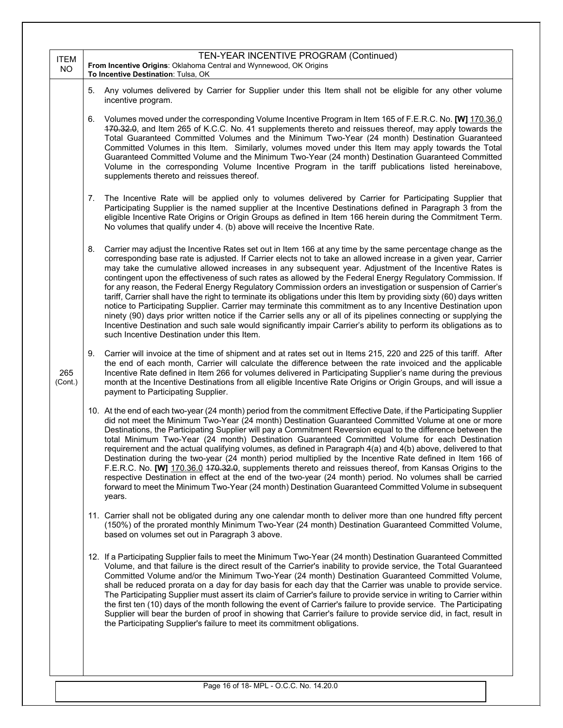| <b>ITEM</b><br><b>NO</b> | TEN-YEAR INCENTIVE PROGRAM (Continued)<br>From Incentive Origins: Oklahoma Central and Wynnewood, OK Origins<br>To Incentive Destination: Tulsa, OK                                                                                                                                                                                                                                                                                                                                                                                                                                                                                                                                                                                                                                                                                                                                                                                                                                                                                                                                                             |  |
|--------------------------|-----------------------------------------------------------------------------------------------------------------------------------------------------------------------------------------------------------------------------------------------------------------------------------------------------------------------------------------------------------------------------------------------------------------------------------------------------------------------------------------------------------------------------------------------------------------------------------------------------------------------------------------------------------------------------------------------------------------------------------------------------------------------------------------------------------------------------------------------------------------------------------------------------------------------------------------------------------------------------------------------------------------------------------------------------------------------------------------------------------------|--|
|                          | Any volumes delivered by Carrier for Supplier under this Item shall not be eligible for any other volume<br>5.<br>incentive program.                                                                                                                                                                                                                                                                                                                                                                                                                                                                                                                                                                                                                                                                                                                                                                                                                                                                                                                                                                            |  |
|                          | Volumes moved under the corresponding Volume Incentive Program in Item 165 of F.E.R.C. No. [W] 170.36.0<br>6.<br>470.32.0, and Item 265 of K.C.C. No. 41 supplements thereto and reissues thereof, may apply towards the<br>Total Guaranteed Committed Volumes and the Minimum Two-Year (24 month) Destination Guaranteed<br>Committed Volumes in this Item. Similarly, volumes moved under this Item may apply towards the Total<br>Guaranteed Committed Volume and the Minimum Two-Year (24 month) Destination Guaranteed Committed<br>Volume in the corresponding Volume Incentive Program in the tariff publications listed hereinabove,<br>supplements thereto and reissues thereof.                                                                                                                                                                                                                                                                                                                                                                                                                       |  |
|                          | The Incentive Rate will be applied only to volumes delivered by Carrier for Participating Supplier that<br>7.<br>Participating Supplier is the named supplier at the Incentive Destinations defined in Paragraph 3 from the<br>eligible Incentive Rate Origins or Origin Groups as defined in Item 166 herein during the Commitment Term.<br>No volumes that qualify under 4. (b) above will receive the Incentive Rate.                                                                                                                                                                                                                                                                                                                                                                                                                                                                                                                                                                                                                                                                                        |  |
|                          | 8.<br>Carrier may adjust the Incentive Rates set out in Item 166 at any time by the same percentage change as the<br>corresponding base rate is adjusted. If Carrier elects not to take an allowed increase in a given year, Carrier<br>may take the cumulative allowed increases in any subsequent year. Adjustment of the Incentive Rates is<br>contingent upon the effectiveness of such rates as allowed by the Federal Energy Regulatory Commission. If<br>for any reason, the Federal Energy Regulatory Commission orders an investigation or suspension of Carrier's<br>tariff, Carrier shall have the right to terminate its obligations under this Item by providing sixty (60) days written<br>notice to Participating Supplier. Carrier may terminate this commitment as to any Incentive Destination upon<br>ninety (90) days prior written notice if the Carrier sells any or all of its pipelines connecting or supplying the<br>Incentive Destination and such sale would significantly impair Carrier's ability to perform its obligations as to<br>such Incentive Destination under this Item. |  |
| 265<br>(Cont.)           | 9.<br>Carrier will invoice at the time of shipment and at rates set out in Items 215, 220 and 225 of this tariff. After<br>the end of each month, Carrier will calculate the difference between the rate invoiced and the applicable<br>Incentive Rate defined in Item 266 for volumes delivered in Participating Supplier's name during the previous<br>month at the Incentive Destinations from all eligible Incentive Rate Origins or Origin Groups, and will issue a<br>payment to Participating Supplier.                                                                                                                                                                                                                                                                                                                                                                                                                                                                                                                                                                                                  |  |
|                          | 10. At the end of each two-year (24 month) period from the commitment Effective Date, if the Participating Supplier<br>did not meet the Minimum Two-Year (24 month) Destination Guaranteed Committed Volume at one or more<br>Destinations, the Participating Supplier will pay a Commitment Reversion equal to the difference between the<br>total Minimum Two-Year (24 month) Destination Guaranteed Committed Volume for each Destination<br>requirement and the actual qualifying volumes, as defined in Paragraph 4(a) and 4(b) above, delivered to that<br>Destination during the two-year (24 month) period multiplied by the Incentive Rate defined in Item 166 of<br>F.E.R.C. No. [W] 170.36.0 470.32.0, supplements thereto and reissues thereof, from Kansas Origins to the<br>respective Destination in effect at the end of the two-year (24 month) period. No volumes shall be carried<br>forward to meet the Minimum Two-Year (24 month) Destination Guaranteed Committed Volume in subsequent<br>years.                                                                                         |  |
|                          | 11. Carrier shall not be obligated during any one calendar month to deliver more than one hundred fifty percent<br>(150%) of the prorated monthly Minimum Two-Year (24 month) Destination Guaranteed Committed Volume,<br>based on volumes set out in Paragraph 3 above.                                                                                                                                                                                                                                                                                                                                                                                                                                                                                                                                                                                                                                                                                                                                                                                                                                        |  |
|                          | 12. If a Participating Supplier fails to meet the Minimum Two-Year (24 month) Destination Guaranteed Committed<br>Volume, and that failure is the direct result of the Carrier's inability to provide service, the Total Guaranteed<br>Committed Volume and/or the Minimum Two-Year (24 month) Destination Guaranteed Committed Volume,<br>shall be reduced prorata on a day for day basis for each day that the Carrier was unable to provide service.<br>The Participating Supplier must assert its claim of Carrier's failure to provide service in writing to Carrier within<br>the first ten (10) days of the month following the event of Carrier's failure to provide service. The Participating<br>Supplier will bear the burden of proof in showing that Carrier's failure to provide service did, in fact, result in<br>the Participating Supplier's failure to meet its commitment obligations.                                                                                                                                                                                                      |  |
|                          | Page 16 of 18- MPL - O.C.C. No. 14.20.0                                                                                                                                                                                                                                                                                                                                                                                                                                                                                                                                                                                                                                                                                                                                                                                                                                                                                                                                                                                                                                                                         |  |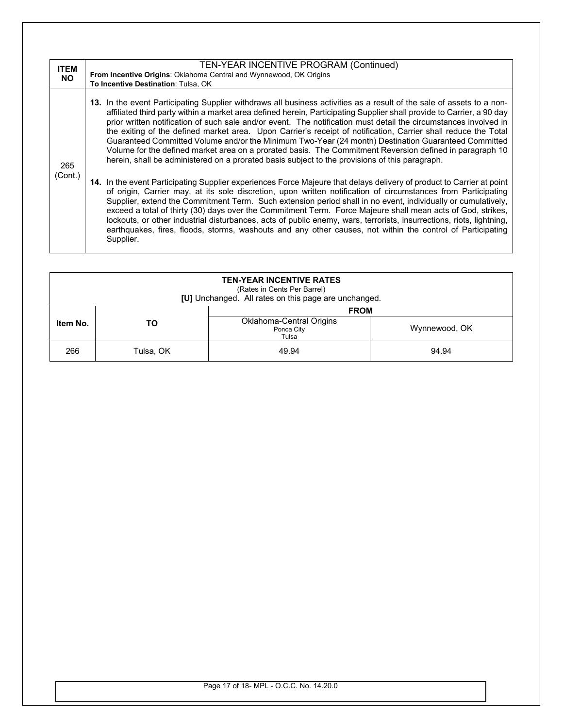| <b>ITEM</b><br><b>NO</b> | TEN-YEAR INCENTIVE PROGRAM (Continued)<br>From Incentive Origins: Oklahoma Central and Wynnewood, OK Origins<br>To Incentive Destination: Tulsa, OK                                                                                                                                                                                                                                                                                                                                                                                                                                                                                                                                                                                                                                                       |
|--------------------------|-----------------------------------------------------------------------------------------------------------------------------------------------------------------------------------------------------------------------------------------------------------------------------------------------------------------------------------------------------------------------------------------------------------------------------------------------------------------------------------------------------------------------------------------------------------------------------------------------------------------------------------------------------------------------------------------------------------------------------------------------------------------------------------------------------------|
| 265                      | 13. In the event Participating Supplier withdraws all business activities as a result of the sale of assets to a non-<br>affiliated third party within a market area defined herein, Participating Supplier shall provide to Carrier, a 90 day<br>prior written notification of such sale and/or event. The notification must detail the circumstances involved in<br>the exiting of the defined market area. Upon Carrier's receipt of notification, Carrier shall reduce the Total<br>Guaranteed Committed Volume and/or the Minimum Two-Year (24 month) Destination Guaranteed Committed<br>Volume for the defined market area on a prorated basis. The Commitment Reversion defined in paragraph 10<br>herein, shall be administered on a prorated basis subject to the provisions of this paragraph. |
| (Cont.)                  | 14. In the event Participating Supplier experiences Force Majeure that delays delivery of product to Carrier at point<br>of origin, Carrier may, at its sole discretion, upon written notification of circumstances from Participating<br>Supplier, extend the Commitment Term. Such extension period shall in no event, individually or cumulatively,<br>exceed a total of thirty (30) days over the Commitment Term. Force Majeure shall mean acts of God, strikes,<br>lockouts, or other industrial disturbances, acts of public enemy, wars, terrorists, insurrections, riots, lightning,<br>earthquakes, fires, floods, storms, washouts and any other causes, not within the control of Participating<br>Supplier.                                                                                  |

| <b>TEN-YEAR INCENTIVE RATES</b><br>(Rates in Cents Per Barrel)<br>[U] Unchanged. All rates on this page are unchanged. |           |                                                                       |               |  |
|------------------------------------------------------------------------------------------------------------------------|-----------|-----------------------------------------------------------------------|---------------|--|
| Item No.                                                                                                               | то        | <b>FROM</b><br><b>Oklahoma-Central Origins</b><br>Ponca City<br>Tulsa | Wynnewood, OK |  |
| 266                                                                                                                    | Tulsa, OK | 49.94                                                                 | 94.94         |  |

Page 17 of 18- MPL - O.C.C. No. 14.20.0